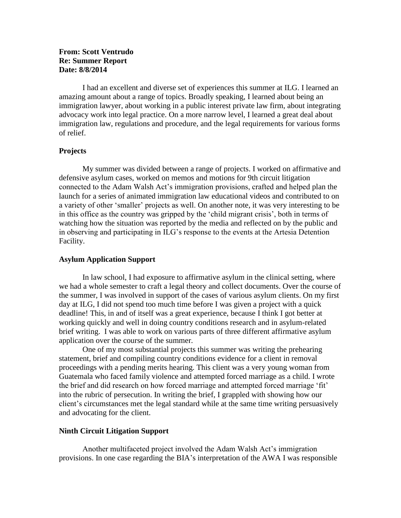# **From: Scott Ventrudo Re: Summer Report Date: 8/8/2014**

I had an excellent and diverse set of experiences this summer at ILG. I learned an amazing amount about a range of topics. Broadly speaking, I learned about being an immigration lawyer, about working in a public interest private law firm, about integrating advocacy work into legal practice. On a more narrow level, I learned a great deal about immigration law, regulations and procedure, and the legal requirements for various forms of relief.

# **Projects**

My summer was divided between a range of projects. I worked on affirmative and defensive asylum cases, worked on memos and motions for 9th circuit litigation connected to the Adam Walsh Act's immigration provisions, crafted and helped plan the launch for a series of animated immigration law educational videos and contributed to on a variety of other 'smaller' projects as well. On another note, it was very interesting to be in this office as the country was gripped by the 'child migrant crisis', both in terms of watching how the situation was reported by the media and reflected on by the public and in observing and participating in ILG's response to the events at the Artesia Detention Facility.

## **Asylum Application Support**

In law school, I had exposure to affirmative asylum in the clinical setting, where we had a whole semester to craft a legal theory and collect documents. Over the course of the summer, I was involved in support of the cases of various asylum clients. On my first day at ILG, I did not spend too much time before I was given a project with a quick deadline! This, in and of itself was a great experience, because I think I got better at working quickly and well in doing country conditions research and in asylum-related brief writing. I was able to work on various parts of three different affirmative asylum application over the course of the summer.

One of my most substantial projects this summer was writing the prehearing statement, brief and compiling country conditions evidence for a client in removal proceedings with a pending merits hearing. This client was a very young woman from Guatemala who faced family violence and attempted forced marriage as a child. I wrote the brief and did research on how forced marriage and attempted forced marriage 'fit' into the rubric of persecution. In writing the brief, I grappled with showing how our client's circumstances met the legal standard while at the same time writing persuasively and advocating for the client.

# **Ninth Circuit Litigation Support**

Another multifaceted project involved the Adam Walsh Act's immigration provisions. In one case regarding the BIA's interpretation of the AWA I was responsible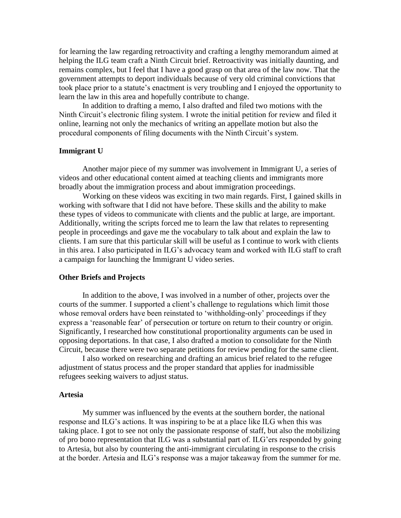for learning the law regarding retroactivity and crafting a lengthy memorandum aimed at helping the ILG team craft a Ninth Circuit brief. Retroactivity was initially daunting, and remains complex, but I feel that I have a good grasp on that area of the law now. That the government attempts to deport individuals because of very old criminal convictions that took place prior to a statute's enactment is very troubling and I enjoyed the opportunity to learn the law in this area and hopefully contribute to change.

In addition to drafting a memo, I also drafted and filed two motions with the Ninth Circuit's electronic filing system. I wrote the initial petition for review and filed it online, learning not only the mechanics of writing an appellate motion but also the procedural components of filing documents with the Ninth Circuit's system.

## **Immigrant U**

Another major piece of my summer was involvement in Immigrant U, a series of videos and other educational content aimed at teaching clients and immigrants more broadly about the immigration process and about immigration proceedings.

Working on these videos was exciting in two main regards. First, I gained skills in working with software that I did not have before. These skills and the ability to make these types of videos to communicate with clients and the public at large, are important. Additionally, writing the scripts forced me to learn the law that relates to representing people in proceedings and gave me the vocabulary to talk about and explain the law to clients. I am sure that this particular skill will be useful as I continue to work with clients in this area. I also participated in ILG's advocacy team and worked with ILG staff to craft a campaign for launching the Immigrant U video series.

#### **Other Briefs and Projects**

In addition to the above, I was involved in a number of other, projects over the courts of the summer. I supported a client's challenge to regulations which limit those whose removal orders have been reinstated to 'withholding-only' proceedings if they express a 'reasonable fear' of persecution or torture on return to their country or origin. Significantly, I researched how constitutional proportionality arguments can be used in opposing deportations. In that case, I also drafted a motion to consolidate for the Ninth Circuit, because there were two separate petitions for review pending for the same client.

I also worked on researching and drafting an amicus brief related to the refugee adjustment of status process and the proper standard that applies for inadmissible refugees seeking waivers to adjust status.

### **Artesia**

My summer was influenced by the events at the southern border, the national response and ILG's actions. It was inspiring to be at a place like ILG when this was taking place. I got to see not only the passionate response of staff, but also the mobilizing of pro bono representation that ILG was a substantial part of. ILG'ers responded by going to Artesia, but also by countering the anti-immigrant circulating in response to the crisis at the border. Artesia and ILG's response was a major takeaway from the summer for me.